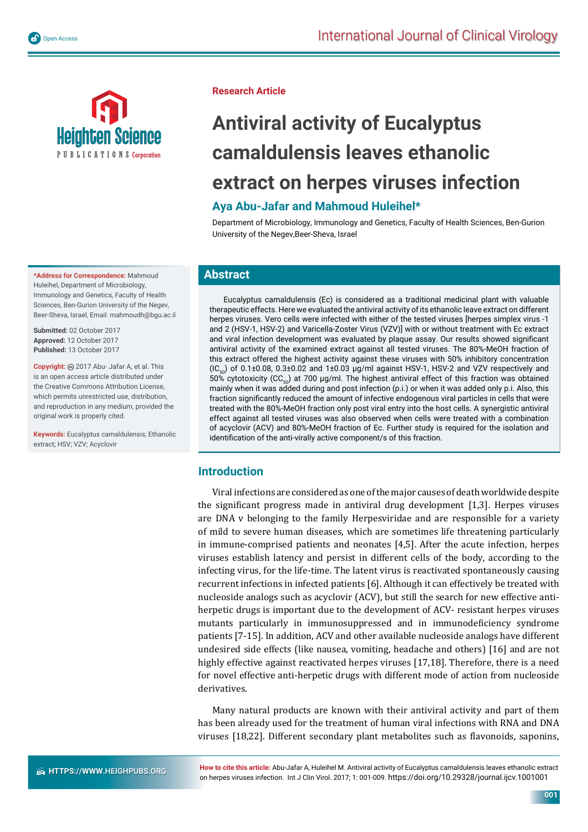



**\*Address for Correspondence:** Mahmoud Huleihel, Department of Microbiology, Immunology and Genetics, Faculty of Health Sciences, Ben-Gurion University of the Negev, Beer-Sheva, Israel, Email: mahmoudh@bgu.ac.il

**Submitted:** 02 October 2017 **Approved:** 12 October 2017 **Published:** 13 October 2017

Copvright: @ 2017 Abu- Jafar A, et al. This is an open access article distributed under the Creative Commons Attribution License, which permits unrestricted use, distribution, and reproduction in any medium, provided the original work is properly cited.

**Keywords:** Eucalyptus camaldulensis; Ethanolic extract; HSV; VZV; Acyclovir

#### **Research Article**

# **Antiviral activity of Eucalyptus camaldulensis leaves ethanolic extract on herpes viruses infection**

## **Aya Abu-Jafar and Mahmoud Huleihel\***

Department of Microbiology, Immunology and Genetics, Faculty of Health Sciences, Ben-Gurion University of the Negev,Beer-Sheva, Israel

#### **Abstract**

Eucalyptus camaldulensis (Ec) is considered as a traditional medicinal plant with valuable therapeutic effects. Here we evaluated the antiviral activity of its ethanolic leave extract on different herpes viruses. Vero cells were infected with either of the tested viruses [herpes simplex virus -1 and 2 (HSV-1, HSV-2) and Varicella-Zoster Virus (VZV)] with or without treatment with Ec extract and viral infection development was evaluated by plaque assay. Our results showed significant antiviral activity of the examined extract against all tested viruses. The 80%-MeOH fraction of this extract offered the highest activity against these viruses with 50% inhibitory concentration  $(IC_{\epsilon_{0}})$  of 0.1±0.08, 0.3±0.02 and 1±0.03 µg/ml against HSV-1, HSV-2 and VZV respectively and 50% cytotoxicity (CC<sub>50</sub>) at 700 µg/ml. The highest antiviral effect of this fraction was obtained mainly when it was added during and post infection (p.i.) or when it was added only p.i. Also, this fraction significantly reduced the amount of infective endogenous viral particles in cells that were treated with the 80%-MeOH fraction only post viral entry into the host cells. A synergistic antiviral effect against all tested viruses was also observed when cells were treated with a combination of acyclovir (ACV) and 80%-MeOH fraction of Ec. Further study is required for the isolation and identification of the anti-virally active component/s of this fraction.

#### **Introduction**

Viral infections are considered as one of the major causes of death worldwide despite the significant progress made in antiviral drug development [1,3]. Herpes viruses are DNA v belonging to the family Herpesviridae and are responsible for a variety of mild to severe human diseases, which are sometimes life threatening particularly in immune-comprised patients and neonates [4,5]. After the acute infection, herpes viruses establish latency and persist in different cells of the body, according to the infecting virus, for the life-time. The latent virus is reactivated spontaneously causing recurrent infections in infected patients [6]. Although it can effectively be treated with nucleoside analogs such as acyclovir (ACV), but still the search for new effective antiherpetic drugs is important due to the development of ACV- resistant herpes viruses mutants particularly in immunosuppressed and in immunodeficiency syndrome patients [7-15]. In addition, ACV and other available nucleoside analogs have different undesired side effects (like nausea, vomiting, headache and others) [16] and are not highly effective against reactivated herpes viruses [17,18]. Therefore, there is a need for novel effective anti-herpetic drugs with different mode of action from nucleoside derivatives.

Many natural products are known with their antiviral activity and part of them has been already used for the treatment of human viral infections with RNA and DNA viruses [18,22]. Different secondary plant metabolites such as flavonoids, saponins,

**How to cite this article:** Abu-Jafar A, Huleihel M. Antiviral activity of Eucalyptus camaldulensis leaves ethanolic extract on herpes viruses infection. Int J Clin Virol. 2017; 1: 001-009. https://doi.org/10.29328/journal.ijcv.1001001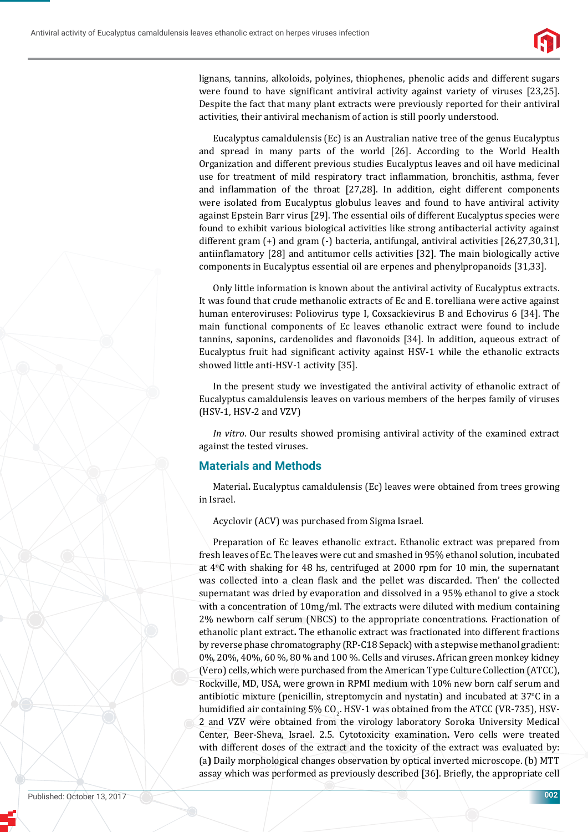

lignans, tannins, alkoloids, polyines, thiophenes, phenolic acids and different sugars were found to have significant antiviral activity against variety of viruses [23,25]. Despite the fact that many plant extracts were previously reported for their antiviral activities, their antiviral mechanism of action is still poorly understood.

Eucalyptus camaldulensis (Ec) is an Australian native tree of the genus Eucalyptus and spread in many parts of the world [26]. According to the World Health Organization and different previous studies Eucalyptus leaves and oil have medicinal use for treatment of mild respiratory tract inflammation, bronchitis, asthma, fever and inflammation of the throat  $[27,28]$ . In addition, eight different components were isolated from Eucalyptus globulus leaves and found to have antiviral activity against Epstein Barr virus [29]. The essential oils of different Eucalyptus species were found to exhibit various biological activities like strong antibacterial activity against different gram (+) and gram (-) bacteria, antifungal, antiviral activities [26,27,30,31], antiinflamatory [28] and antitumor cells activities [32]. The main biologically active components in Eucalyptus essential oil are erpenes and phenylpropanoids [31,33].

Only little information is known about the antiviral activity of Eucalyptus extracts. It was found that crude methanolic extracts of Ec and E. torelliana were active against human enteroviruses: Poliovirus type I, Coxsackievirus B and Echovirus 6 [34]. The main functional components of Ec leaves ethanolic extract were found to include tannins, saponins, cardenolides and flavonoids [34]. In addition, aqueous extract of Eucalyptus fruit had significant activity against HSV-1 while the ethanolic extracts showed little anti-HSV-1 activity [35].

In the present study we investigated the antiviral activity of ethanolic extract of Eucalyptus camaldulensis leaves on various members of the herpes family of viruses (HSV-1, HSV-2 and VZV)

*In vitro*. Our results showed promising antiviral activity of the examined extract against the tested viruses.

#### **Materials and Methods**

Material**.** Eucalyptus camaldulensis (Ec) leaves were obtained from trees growing in Israel.

Acyclovir (ACV) was purchased from Sigma Israel.

Preparation of Ec leaves ethanolic extract**.** Ethanolic extract was prepared from fresh leaves of Ec. The leaves were cut and smashed in 95% ethanol solution, incubated at  $4^{\circ}$ C with shaking for 48 hs, centrifuged at 2000 rpm for 10 min, the supernatant was collected into a clean flask and the pellet was discarded. Then' the collected supernatant was dried by evaporation and dissolved in a 95% ethanol to give a stock with a concentration of 10mg/ml. The extracts were diluted with medium containing 2% newborn calf serum (NBCS) to the appropriate concentrations. Fractionation of ethanolic plant extract**.** The ethanolic extract was fractionated into different fractions by reverse phase chromatography (RP-C18 Sepack) with a stepwise methanol gradient: 0%, 20%, 40%, 60 %, 80 % and 100 %. Cells and viruses**.** African green monkey kidney (Vero) cells, which were purchased from the American Type Culture Collection (ATCC), Rockville, MD, USA, were grown in RPMI medium with 10% new born calf serum and antibiotic mixture (penicillin, streptomycin and nystatin) and incubated at 37°C in a humidified air containing 5% CO<sub>2</sub>. HSV-1 was obtained from the ATCC (VR-735), HSV-2 and VZV were obtained from the virology laboratory Soroka University Medical Center, Beer-Sheva, Israel. 2.5. Cytotoxicity examination**.** Vero cells were treated with different doses of the extract and the toxicity of the extract was evaluated by: (a**)** Daily morphological changes observation by optical inverted microscope. (b) MTT assay which was performed as previously described [36]. Brieϐly, the appropriate cell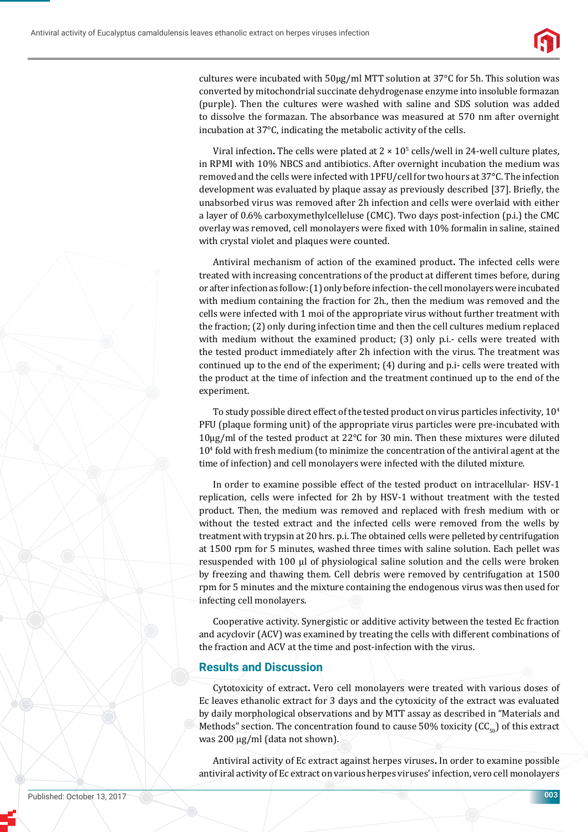

cultures were incubated with 50μg/ml MTT solution at 37°C for 5h. This solution was converted by mitochondrial succinate dehydrogenase enzyme into insoluble formazan (purple). Then the cultures were washed with saline and SDS solution was added to dissolve the formazan. The absorbance was measured at 570 nm after overnight incubation at 37°C, indicating the metabolic activity of the cells.

Viral infection. The cells were plated at  $2 \times 10^5$  cells/well in 24-well culture plates, in RPMI with 10% NBCS and antibiotics. After overnight incubation the medium was removed and the cells were infected with 1PFU/cell for two hours at 37°C. The infection development was evaluated by plaque assay as previously described [37]. Briefly, the unabsorbed virus was removed after 2h infection and cells were overlaid with either a layer of 0.6% carboxymethylcelleluse (CMC). Two days post-infection (p.i.) the CMC overlay was removed, cell monolayers were ϐixed with 10% formalin in saline, stained with crystal violet and plaques were counted.

Antiviral mechanism of action of the examined product**.** The infected cells were treated with increasing concentrations of the product at different times before, during or after infection as follow: (1) only before infection- the cell monolayers were incubated with medium containing the fraction for 2h., then the medium was removed and the cells were infected with 1 moi of the appropriate virus without further treatment with the fraction; (2) only during infection time and then the cell cultures medium replaced with medium without the examined product; (3) only p.i.- cells were treated with the tested product immediately after 2h infection with the virus. The treatment was continued up to the end of the experiment; (4) during and p.i- cells were treated with the product at the time of infection and the treatment continued up to the end of the experiment.

To study possible direct effect of the tested product on virus particles infectivity,  $10^4$ PFU (plaque forming unit) of the appropriate virus particles were pre-incubated with 10μg/ml of the tested product at 22°C for 30 min. Then these mixtures were diluted 104 fold with fresh medium (to minimize the concentration of the antiviral agent at the time of infection) and cell monolayers were infected with the diluted mixture.

In order to examine possible effect of the tested product on intracellular- HSV-1 replication, cells were infected for 2h by HSV-1 without treatment with the tested product. Then, the medium was removed and replaced with fresh medium with or without the tested extract and the infected cells were removed from the wells by treatment with trypsin at 20 hrs. p.i. The obtained cells were pelleted by centrifugation at 1500 rpm for 5 minutes, washed three times with saline solution. Each pellet was resuspended with 100 μl of physiological saline solution and the cells were broken by freezing and thawing them. Cell debris were removed by centrifugation at 1500 rpm for 5 minutes and the mixture containing the endogenous virus was then used for infecting cell monolayers.

Cooperative activity. Synergistic or additive activity between the tested Ec fraction and acyclovir (ACV) was examined by treating the cells with different combinations of the fraction and ACV at the time and post-infection with the virus.

#### **Results and Discussion**

Cytotoxicity of extract**.** Vero cell monolayers were treated with various doses of Ec leaves ethanolic extract for 3 days and the cytoxicity of the extract was evaluated by daily morphological observations and by MTT assay as described in "Materials and Methods" section. The concentration found to cause 50% toxicity ( $CC_{50}$ ) of this extract was 200 μg/ml (data not shown).

Antiviral activity of Ec extract against herpes viruses**.** In order to examine possible antiviral activity of Ec extract on various herpes viruses' infection, vero cell monolayers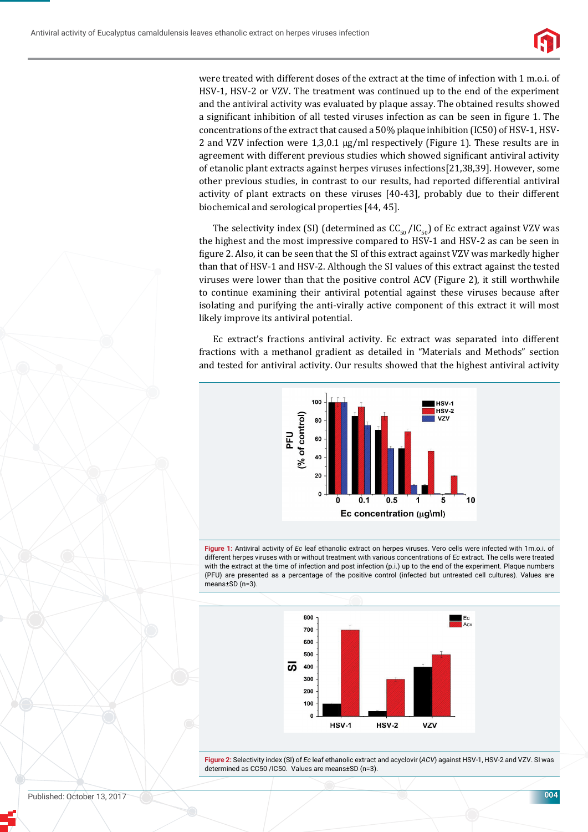

were treated with different doses of the extract at the time of infection with 1 m.o.i. of HSV-1, HSV-2 or VZV. The treatment was continued up to the end of the experiment and the antiviral activity was evaluated by plaque assay. The obtained results showed a significant inhibition of all tested viruses infection as can be seen in figure 1. The concentrations of the extract that caused a 50% plaque inhibition (IC50) of HSV-1, HSV-2 and VZV infection were 1,3,0.1 μg/ml respectively (Figure 1). These results are in agreement with different previous studies which showed significant antiviral activity of etanolic plant extracts against herpes viruses infections[21,38,39]. However, some other previous studies, in contrast to our results, had reported differential antiviral activity of plant extracts on these viruses [40-43], probably due to their different biochemical and serological properties [44, 45].

The selectivity index (SI) (determined as  $CC_{50} / IC_{50}$ ) of Ec extract against VZV was the highest and the most impressive compared to HSV-1 and HSV-2 as can be seen in figure 2. Also, it can be seen that the SI of this extract against VZV was markedly higher than that of HSV-1 and HSV-2. Although the SI values of this extract against the tested viruses were lower than that the positive control ACV (Figure 2), it still worthwhile to continue examining their antiviral potential against these viruses because after isolating and purifying the anti-virally active component of this extract it will most likely improve its antiviral potential.

Ec extract's fractions antiviral activity. Ec extract was separated into different fractions with a methanol gradient as detailed in "Materials and Methods" section and tested for antiviral activity. Our results showed that the highest antiviral activity







**Figure 2:** Selectivity index (SI) of *Ec* leaf ethanolic extract and acyclovir (*ACV*) against HSV-1, HSV-2 and VZV. SI was determined as CC50 /IC50. Values are means±SD (n=3).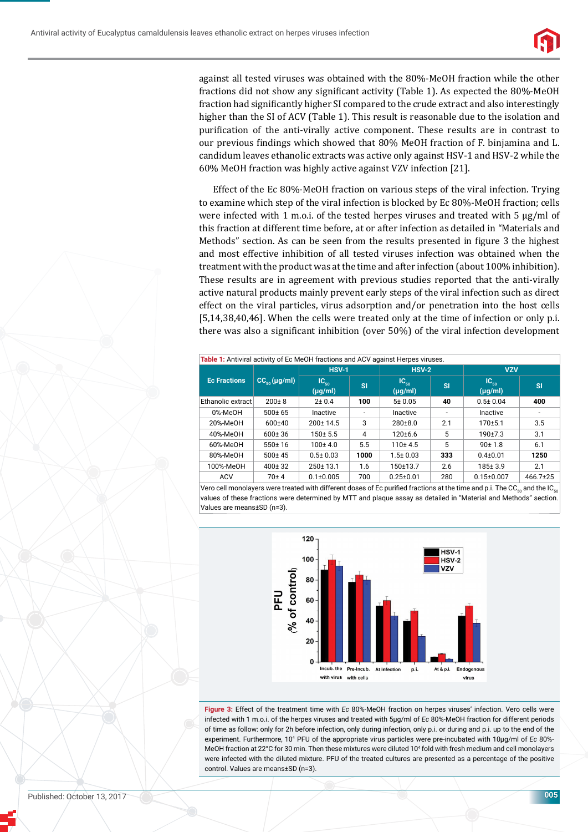

against all tested viruses was obtained with the 80%-MeOH fraction while the other fractions did not show any significant activity (Table 1). As expected the  $80\%$ -MeOH fraction had significantly higher SI compared to the crude extract and also interestingly higher than the SI of ACV (Table 1). This result is reasonable due to the isolation and purification of the anti-virally active component. These results are in contrast to our previous findings which showed that 80% MeOH fraction of F. binjamina and L. candidum leaves ethanolic extracts was active only against HSV-1 and HSV-2 while the 60% MeOH fraction was highly active against VZV infection [21].

Effect of the Ec 80%-MeOH fraction on various steps of the viral infection. Trying to examine which step of the viral infection is blocked by Ec 80%-MeOH fraction; cells were infected with 1 m.o.i. of the tested herpes viruses and treated with 5 μg/ml of this fraction at different time before, at or after infection as detailed in "Materials and Methods" section. As can be seen from the results presented in figure 3 the highest and most effective inhibition of all tested viruses infection was obtained when the treatment with the product was at the time and after infection (about 100% inhibition). These results are in agreement with previous studies reported that the anti-virally active natural products mainly prevent early steps of the viral infection such as direct effect on the viral particles, virus adsorption and/or penetration into the host cells [5,14,38,40,46]. When the cells were treated only at the time of infection or only p.i. there was also a significant inhibition (over 50%) of the viral infection development

| Table 1: Antiviral activity of Ec MeOH fractions and ACV against Herpes viruses. |                             |                           |           |                           |           |                           |           |
|----------------------------------------------------------------------------------|-----------------------------|---------------------------|-----------|---------------------------|-----------|---------------------------|-----------|
| <b>Ec Fractions</b>                                                              | $CC_{\epsilon_0}(\mu g/ml)$ | <b>HSV-1</b>              |           | $HSV-2$                   |           | <b>VZV</b>                |           |
|                                                                                  |                             | $IC_{50}$<br>$(\mu g/ml)$ | <b>SI</b> | $IC_{50}$<br>$(\mu g/ml)$ | <b>SI</b> | $IC_{50}$<br>$(\mu g/ml)$ | <b>SI</b> |
| Ethanolic extract                                                                | $200 \pm 8$                 | $2 \pm 0.4$               | 100       | 5 ± 0.05                  | 40        | $0.5 \pm 0.04$            | 400       |
| 0%-MeOH                                                                          | 500±65                      | Inactive                  | ۰         | Inactive                  | ۰         | Inactive                  | ٠         |
| 20%-MeOH                                                                         | $600+40$                    | $200 \pm 14.5$            | 3         | $280+8.0$                 | 2.1       | $170 + 5.1$               | 3.5       |
| 40%-MeOH                                                                         | $600 \pm 36$                | $150 + 5.5$               | 4         | $120+6.6$                 | 5         | $190+7.3$                 | 3.1       |
| 60%-MeOH                                                                         | $550+16$                    | $100 \pm 4.0$             | 5.5       | $110+4.5$                 | 5         | 90±1.8                    | 6.1       |
| 80%-MeOH                                                                         | $500 \pm 45$                | $0.5 \pm 0.03$            | 1000      | $1.5 \pm 0.03$            | 333       | $0.4 \pm 0.01$            | 1250      |
| 100%-MeOH                                                                        | $400 \pm 32$                | $250 \pm 13.1$            | 1.6       | 150±13.7                  | 2.6       | $185 \pm 3.9$             | 2.1       |
| <b>ACV</b>                                                                       | $70 + 4$                    | $0.1 \pm 0.005$           | 700       | $0.25 \pm 0.01$           | 280       | $0.15 \pm 0.007$          | 466.7±25  |

Vero cell monolayers were treated with different doses of Ec purified fractions at the time and p.i. The CC<sub>50</sub> and the IC<sub>50</sub> values of these fractions were determined by MTT and plaque assay as detailed in "Material and Methods" section. Values are means±SD (n=3).



**Figure 3:** Effect of the treatment time with *Ec* 80%-MeOH fraction on herpes viruses' infection. Vero cells were infected with 1 m.o.i. of the herpes viruses and treated with 5μg/ml of *Ec* 80%-MeOH fraction for different periods of time as follow: only for 2h before infection, only during infection, only p.i. or during and p.i. up to the end of the experiment. Furthermore, 104 PFU of the appropriate virus particles were pre-incubated with 10μg/ml of *Ec* 80%- MeOH fraction at 22°C for 30 min. Then these mixtures were diluted 10<sup>4</sup> fold with fresh medium and cell monolayers were infected with the diluted mixture. PFU of the treated cultures are presented as a percentage of the positive control. Values are means±SD (n=3).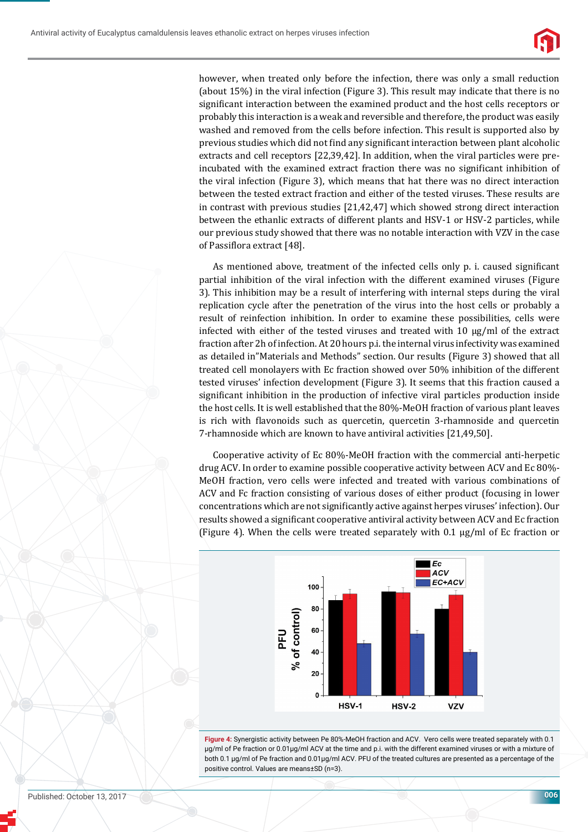

however, when treated only before the infection, there was only a small reduction (about 15%) in the viral infection (Figure 3). This result may indicate that there is no significant interaction between the examined product and the host cells receptors or probably this interaction is a weak and reversible and therefore, the product was easily washed and removed from the cells before infection. This result is supported also by previous studies which did not find any significant interaction between plant alcoholic extracts and cell receptors [22,39,42]. In addition, when the viral particles were preincubated with the examined extract fraction there was no significant inhibition of the viral infection (Figure 3), which means that hat there was no direct interaction between the tested extract fraction and either of the tested viruses. These results are in contrast with previous studies [21,42,47] which showed strong direct interaction between the ethanlic extracts of different plants and HSV-1 or HSV-2 particles, while our previous study showed that there was no notable interaction with VZV in the case of Passiflora extract [48].

As mentioned above, treatment of the infected cells only p. i. caused significant partial inhibition of the viral infection with the different examined viruses (Figure 3). This inhibition may be a result of interfering with internal steps during the viral replication cycle after the penetration of the virus into the host cells or probably a result of reinfection inhibition. In order to examine these possibilities, cells were infected with either of the tested viruses and treated with 10 μg/ml of the extract fraction after 2h of infection. At 20 hours p.i. the internal virus infectivity was examined as detailed in"Materials and Methods" section. Our results (Figure 3) showed that all treated cell monolayers with Ec fraction showed over 50% inhibition of the different tested viruses' infection development (Figure 3). It seems that this fraction caused a significant inhibition in the production of infective viral particles production inside the host cells. It is well established that the 80%-MeOH fraction of various plant leaves is rich with flavonoids such as quercetin, quercetin 3-rhamnoside and quercetin 7-rhamnoside which are known to have antiviral activities [21,49,50].

Cooperative activity of Ec 80%-MeOH fraction with the commercial anti-herpetic drug ACV. In order to examine possible cooperative activity between ACV and Ec 80%- MeOH fraction, vero cells were infected and treated with various combinations of ACV and Fc fraction consisting of various doses of either product (focusing in lower concentrations which are not significantly active against herpes viruses' infection). Our results showed a significant cooperative antiviral activity between ACV and Ec fraction (Figure 4). When the cells were treated separately with 0.1  $\mu$ g/ml of Ec fraction or



**Figure 4:** Synergistic activity between Pe 80%-MeOH fraction and ACV. Vero cells were treated separately with 0.1 μg/ml of Pe fraction or 0.01μg/ml ACV at the time and p.i. with the different examined viruses or with a mixture of both 0.1 μg/ml of Pe fraction and 0.01μg/ml ACV. PFU of the treated cultures are presented as a percentage of the positive control. Values are means±SD (n=3).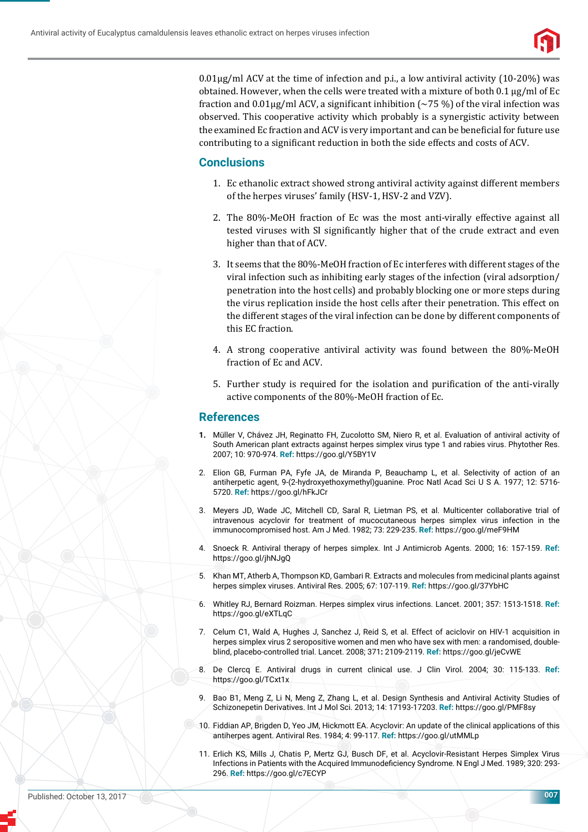

 $0.01\mu$ g/ml ACV at the time of infection and p.i., a low antiviral activity (10-20%) was obtained. However, when the cells were treated with a mixture of both 0.1 μg/ml of Ec fraction and  $0.01\mu$ g/ml ACV, a significant inhibition (~75 %) of the viral infection was observed. This cooperative activity which probably is a synergistic activity between the examined Ec fraction and ACV is very important and can be beneficial for future use contributing to a significant reduction in both the side effects and costs of ACV.

### **Conclusions**

- 1. Ec ethanolic extract showed strong antiviral activity against different members of the herpes viruses' family (HSV-1, HSV-2 and VZV).
- 2. The 80%-MeOH fraction of Ec was the most anti-virally effective against all tested viruses with SI significantly higher that of the crude extract and even higher than that of ACV.
- 3. It seems that the 80%-MeOH fraction of Ec interferes with different stages of the viral infection such as inhibiting early stages of the infection (viral adsorption/ penetration into the host cells) and probably blocking one or more steps during the virus replication inside the host cells after their penetration. This effect on the different stages of the viral infection can be done by different components of this EC fraction.
- 4. A strong cooperative antiviral activity was found between the 80%-MeOH fraction of Ec and ACV.
- 5. Further study is required for the isolation and purification of the anti-virally active components of the 80%-MeOH fraction of Ec.

#### **References**

- **1.** Müller V, Chávez JH, Reginatto FH, Zucolotto SM, Niero R, et al. Evaluation of antiviral activity of South American plant extracts against herpes simplex virus type 1 and rabies virus. Phytother Res. 2007; 10: 970-974. **Ref:** https://goo.gl/Y5BY1V
- 2. Elion GB, Furman PA, Fyfe JA, de Miranda P, Beauchamp L, et al. Selectivity of action of an antiherpetic agent, 9-(2-hydroxyethoxymethyl)guanine. Proc Natl Acad Sci U S A. 1977; 12: 5716- 5720. **Ref:** https://goo.gl/hFkJCr
- 3. Meyers JD, Wade JC, Mitchell CD, Saral R, Lietman PS, et al. Multicenter collaborative trial of intravenous acyclovir for treatment of mucocutaneous herpes simplex virus infection in the immunocompromised host. Am J Med. 1982; 73: 229-235. **Ref:** https://goo.gl/meF9HM
- 4. Snoeck R. Antiviral therapy of herpes simplex. Int J Antimicrob Agents. 2000; 16: 157-159. **Ref:** https://goo.gl/jhNJgQ
- 5. Khan MT, Atherb A, Thompson KD, Gambari R. Extracts and molecules from medicinal plants against herpes simplex viruses. Antiviral Res. 2005; 67: 107-119. **Ref:** https://goo.gl/37YbHC
- 6. Whitley RJ, Bernard Roizman. Herpes simplex virus infections. Lancet. 2001; 357: 1513-1518. **Ref:** https://goo.gl/eXTLqC
- 7. Celum C1, Wald A, Hughes J, Sanchez J, Reid S, et al. Effect of aciclovir on HIV-1 acquisition in herpes simplex virus 2 seropositive women and men who have sex with men: a randomised, doubleblind, placebo-controlled trial. Lancet. 2008; 371**:** 2109-2119. **Ref:** https://goo.gl/jeCvWE
- 8. De Clercq E. Antiviral drugs in current clinical use. J Clin Virol. 2004; 30: 115-133. **Ref:** https://goo.gl/TCxt1x
- 9. Bao B1, Meng Z, Li N, Meng Z, Zhang L, et al. Design Synthesis and Antiviral Activity Studies of Schizonepetin Derivatives. Int J Mol Sci. 2013; 14: 17193-17203. **Ref:** https://goo.gl/PMF8sy
- 10. Fiddian AP, Brigden D, Yeo JM, Hickmott EA. Acyclovir: An update of the clinical applications of this antiherpes agent. Antiviral Res. 1984; 4: 99-117. **Ref:** https://goo.gl/utMMLp
- 11. Erlich KS, Mills J, Chatis P, Mertz GJ, Busch DF, et al. Acyclovir-Resistant Herpes Simplex Virus Infections in Patients with the Acquired Immunodeficiency Syndrome. N Engl J Med. 1989; 320: 293-296. **Ref:** https://goo.gl/c7ECYP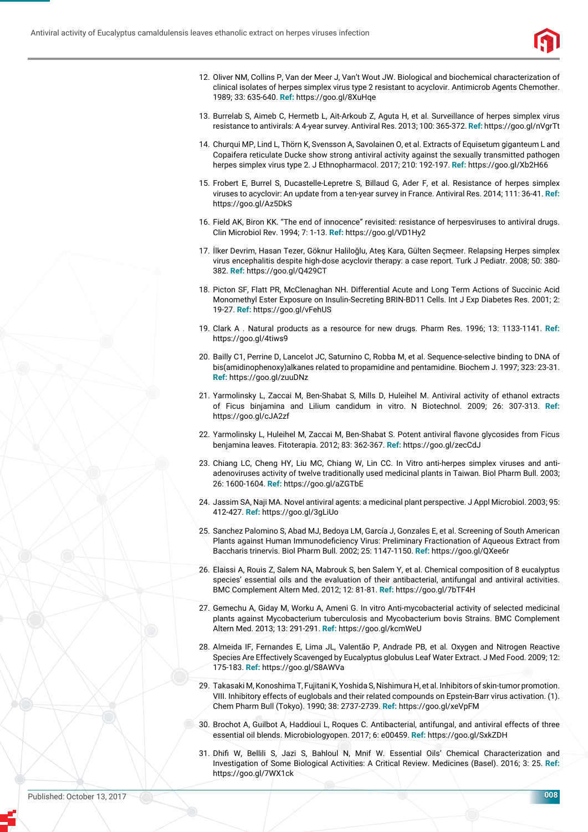

- 12. Oliver NM, Collins P, Van der Meer J, Van't Wout JW. Biological and biochemical characterization of clinical isolates of herpes simplex virus type 2 resistant to acyclovir. Antimicrob Agents Chemother. 1989; 33: 635-640. **Ref:** https://goo.gl/8XuHqe
- 13. Burrelab S, Aimeb C, Hermetb L, Ait-Arkoub Z, Aguta H, et al. Surveillance of herpes simplex virus resistance to antivirals: A 4-year survey. Antiviral Res. 2013; 100: 365-372. **Ref:** https://goo.gl/nVgrTt
- 14. Churqui MP, Lind L, Thörn K, Svensson A, Savolainen O, et al. Extracts of Equisetum giganteum L and Copaifera reticulate Ducke show strong antiviral activity against the sexually transmitted pathogen herpes simplex virus type 2. J Ethnopharmacol. 2017; 210: 192-197. **Ref:** https://goo.gl/Xb2H66
- 15. Frobert E, Burrel S, Ducastelle-Lepretre S, Billaud G, Ader F, et al. Resistance of herpes simplex viruses to acyclovir: An update from a ten-year survey in France. Antiviral Res. 2014; 111: 36-41. **Ref:** https://goo.gl/Az5DkS
- 16. Field AK, Biron KK. "The end of innocence" revisited: resistance of herpesviruses to antiviral drugs. Clin Microbiol Rev. 1994; 7: 1-13. **Ref:** https://goo.gl/VD1Hy2
- 17. İlker Devrim, Hasan Tezer, Göknur Haliloğlu, Ateş Kara, Gülten Seçmeer. Relapsing Herpes simplex virus encephalitis despite high-dose acyclovir therapy: a case report. Turk J Pediatr. 2008; 50: 380- 382. **Ref:** https://goo.gl/Q429CT
- 18. Picton SF, Flatt PR, McClenaghan NH. Differential Acute and Long Term Actions of Succinic Acid Monomethyl Ester Exposure on Insulin-Secreting BRIN-BD11 Cells. Int J Exp Diabetes Res. 2001; 2: 19-27. **Ref:** https://goo.gl/vFehUS
- 19. Clark A . Natural products as a resource for new drugs. Pharm Res. 1996; 13: 1133-1141. **Ref:** https://goo.gl/4tiws9
- 20. Bailly C1, Perrine D, Lancelot JC, Saturnino C, Robba M, et al. Sequence-selective binding to DNA of bis(amidinophenoxy)alkanes related to propamidine and pentamidine. Biochem J. 1997; 323: 23-31. **Ref:** https://goo.gl/zuuDNz
- 21. Yarmolinsky L, Zaccai M, Ben-Shabat S, Mills D, Huleihel M. Antiviral activity of ethanol extracts of Ficus binjamina and Lilium candidum in vitro. N Biotechnol. 2009; 26: 307-313. **Ref:** https://goo.gl/cJA2zf
- 22. Yarmolinsky L, Huleihel M, Zaccai M, Ben-Shabat S. Potent antiviral flavone glycosides from Ficus benjamina leaves. Fitoterapia. 2012; 83: 362-367. **Ref:** https://goo.gl/zecCdJ
- 23. Chiang LC, Cheng HY, Liu MC, Chiang W, Lin CC. In Vitro anti-herpes simplex viruses and antiadenoviruses activity of twelve traditionally used medicinal plants in Taiwan. Biol Pharm Bull. 2003; 26: 1600-1604. **Ref:** https://goo.gl/aZGTbE
- 24. Jassim SA, Naji MA. Novel antiviral agents: a medicinal plant perspective. J Appl Microbiol. 2003; 95: 412-427. **Ref:** https://goo.gl/3gLiUo
- 25. Sanchez Palomino S, Abad MJ, Bedoya LM, García J, Gonzales E, et al. Screening of South American Plants against Human Immunodeficiency Virus: Preliminary Fractionation of Aqueous Extract from Baccharis trinervis. Biol Pharm Bull. 2002; 25: 1147-1150. **Ref:** https://goo.gl/QXee6r
- 26. Elaissi A, Rouis Z, Salem NA, Mabrouk S, ben Salem Y, et al. Chemical composition of 8 eucalyptus species' essential oils and the evaluation of their antibacterial, antifungal and antiviral activities. BMC Complement Altern Med. 2012; 12: 81-81. **Ref:** https://goo.gl/7bTF4H
- 27. Gemechu A, Giday M, Worku A, Ameni G. In vitro Anti-mycobacterial activity of selected medicinal plants against Mycobacterium tuberculosis and Mycobacterium bovis Strains. BMC Complement Altern Med. 2013; 13: 291-291. **Ref:** https://goo.gl/kcmWeU
- 28. Almeida IF, Fernandes E, Lima JL, Valentão P, Andrade PB, et al. Oxygen and Nitrogen Reactive Species Are Effectively Scavenged by Eucalyptus globulus Leaf Water Extract. J Med Food. 2009; 12: 175-183. **Ref:** https://goo.gl/S8AWVa
- 29. Takasaki M, Konoshima T, Fujitani K, Yoshida S, Nishimura H, et al. Inhibitors of skin-tumor promotion. VIII. Inhibitory effects of euglobals and their related compounds on Epstein-Barr virus activation. (1). Chem Pharm Bull (Tokyo). 1990; 38: 2737-2739. **Ref:** https://goo.gl/xeVpFM
- 30. Brochot A, Guilbot A, Haddioui L, Roques C. Antibacterial, antifungal, and antiviral effects of three essential oil blends. Microbiologyopen. 2017; 6: e00459. **Ref:** https://goo.gl/SxkZDH
- 31. Dhifi W, Bellili S, Jazi S, Bahloul N, Mnif W. Essential Oils' Chemical Characterization and Investigation of Some Biological Activities: A Critical Review. Medicines (Basel). 2016; 3: 25. **Ref:** https://goo.gl/7WX1ck